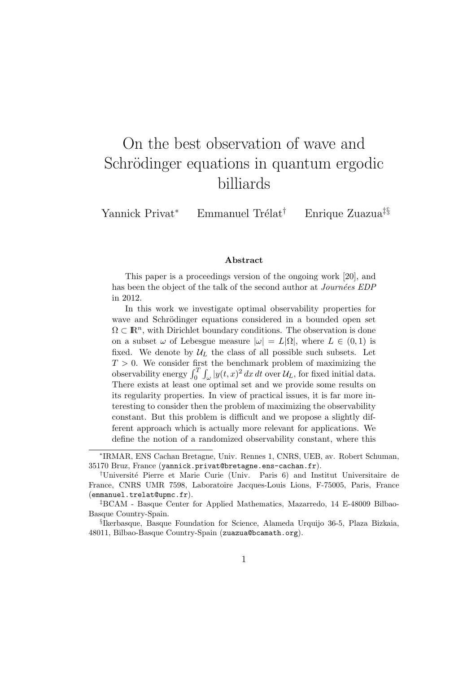# On the best observation of wave and Schrödinger equations in quantum ergodic billiards

Yannick Privat<sup>∗</sup> Emmanuel Trélat<sup>†</sup> Enrique Zuazua<sup>‡§</sup>

#### Abstract

This paper is a proceedings version of the ongoing work [20], and has been the object of the talk of the second author at *Journées EDP* in 2012.

In this work we investigate optimal observability properties for wave and Schrödinger equations considered in a bounded open set  $\Omega \subset \mathbb{R}^n$ , with Dirichlet boundary conditions. The observation is done on a subset  $\omega$  of Lebesgue measure  $|\omega| = L|\Omega|$ , where  $L \in (0,1)$  is fixed. We denote by  $\mathcal{U}_L$  the class of all possible such subsets. Let  $T > 0$ . We consider first the benchmark problem of maximizing the observability energy  $\int_0^T \int_{\omega} |y(t, x)|^2 dx dt$  over  $\mathcal{U}_L$ , for fixed initial data. There exists at least one optimal set and we provide some results on its regularity properties. In view of practical issues, it is far more interesting to consider then the problem of maximizing the observability constant. But this problem is difficult and we propose a slightly different approach which is actually more relevant for applications. We define the notion of a randomized observability constant, where this

<sup>∗</sup> IRMAR, ENS Cachan Bretagne, Univ. Rennes 1, CNRS, UEB, av. Robert Schuman, 35170 Bruz, France (yannick.privat@bretagne.ens-cachan.fr).

<sup>†</sup>Universit´e Pierre et Marie Curie (Univ. Paris 6) and Institut Universitaire de France, CNRS UMR 7598, Laboratoire Jacques-Louis Lions, F-75005, Paris, France (emmanuel.trelat@upmc.fr).

<sup>‡</sup>BCAM - Basque Center for Applied Mathematics, Mazarredo, 14 E-48009 Bilbao-Basque Country-Spain.

<sup>§</sup> Ikerbasque, Basque Foundation for Science, Alameda Urquijo 36-5, Plaza Bizkaia, 48011, Bilbao-Basque Country-Spain (zuazua@bcamath.org).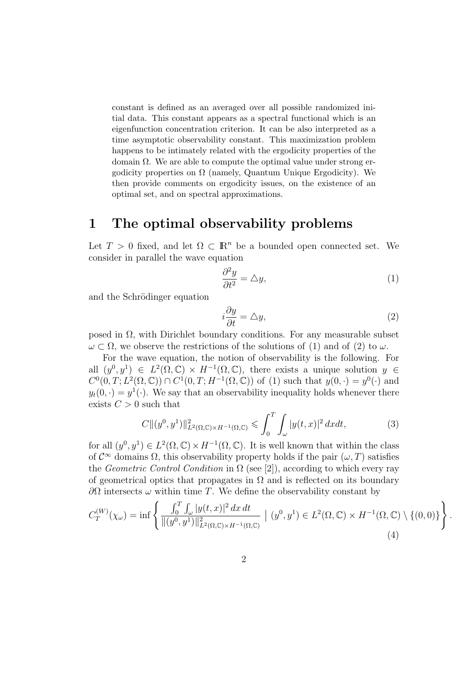constant is defined as an averaged over all possible randomized initial data. This constant appears as a spectral functional which is an eigenfunction concentration criterion. It can be also interpreted as a time asymptotic observability constant. This maximization problem happens to be intimately related with the ergodicity properties of the domain  $\Omega$ . We are able to compute the optimal value under strong ergodicity properties on  $\Omega$  (namely, Quantum Unique Ergodicity). We then provide comments on ergodicity issues, on the existence of an optimal set, and on spectral approximations.

### 1 The optimal observability problems

Let  $T > 0$  fixed, and let  $\Omega \subset \mathbb{R}^n$  be a bounded open connected set. We consider in parallel the wave equation

$$
\frac{\partial^2 y}{\partial t^2} = \triangle y,\tag{1}
$$

and the Schrödinger equation

$$
i\frac{\partial y}{\partial t} = \Delta y,\tag{2}
$$

posed in  $\Omega$ , with Dirichlet boundary conditions. For any measurable subset  $\omega \subset \Omega$ , we observe the restrictions of the solutions of (1) and of (2) to  $\omega$ .

For the wave equation, the notion of observability is the following. For all  $(y^0, y^1) \in L^2(\Omega, \mathbb{C}) \times H^{-1}(\Omega, \mathbb{C})$ , there exists a unique solution  $y \in$  $C^0(0,T;L^2(\Omega,\mathbb{C}))\cap C^1(0,T;H^{-1}(\Omega,\mathbb{C}))$  of (1) such that  $y(0,\cdot)=y^0(\cdot)$  and  $y_t(0, \cdot) = y^1(\cdot)$ . We say that an observability inequality holds whenever there exists  $C > 0$  such that

$$
C\|(y^0, y^1)\|_{L^2(\Omega, \mathbb{C})\times H^{-1}(\Omega, \mathbb{C})}^2 \le \int_0^T \int_{\omega} |y(t, x)|^2 dx dt,
$$
 (3)

for all  $(y^0, y^1) \in L^2(\Omega, \mathbb{C}) \times H^{-1}(\Omega, \mathbb{C})$ . It is well known that within the class of  $\mathcal{C}^{\infty}$  domains  $\Omega$ , this observability property holds if the pair  $(\omega, T)$  satisfies the *Geometric Control Condition* in  $\Omega$  (see [2]), according to which every ray of geometrical optics that propagates in  $\Omega$  and is reflected on its boundary  $\partial\Omega$  intersects ω within time T. We define the observability constant by

$$
C_T^{(W)}(\chi_{\omega}) = \inf \left\{ \frac{\int_0^T \int_{\omega} |y(t,x)|^2 dx dt}{\|(y^0, y^1)\|_{L^2(\Omega, \mathbb{C}) \times H^{-1}(\Omega, \mathbb{C})}^2} \mid (y^0, y^1) \in L^2(\Omega, \mathbb{C}) \times H^{-1}(\Omega, \mathbb{C}) \setminus \{(0, 0)\} \right\}.
$$
\n(4)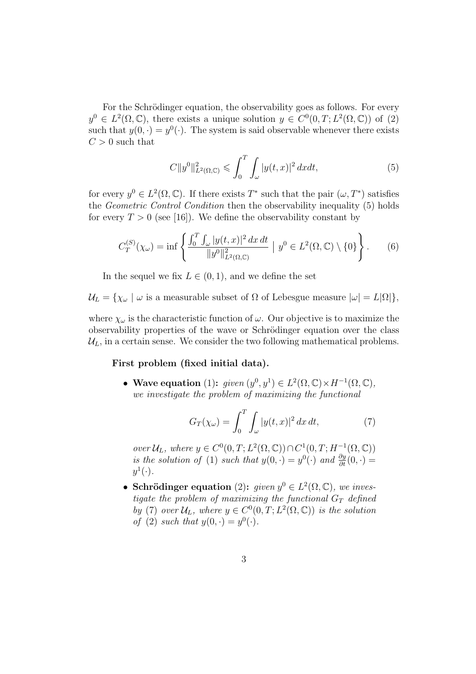For the Schrödinger equation, the observability goes as follows. For every  $y^0 \in L^2(\Omega,\mathbb{C})$ , there exists a unique solution  $y \in C^0(0,T;L^2(\Omega,\mathbb{C}))$  of (2) such that  $y(0, \cdot) = y^0(\cdot)$ . The system is said observable whenever there exists  $C > 0$  such that

$$
C||y^{0}||_{L^{2}(\Omega,\mathbb{C})}^{2} \leq \int_{0}^{T} \int_{\omega} |y(t,x)|^{2} dx dt,
$$
\n(5)

for every  $y^0 \in L^2(\Omega, \mathbb{C})$ . If there exists  $T^*$  such that the pair  $(\omega, T^*)$  satisfies the Geometric Control Condition then the observability inequality (5) holds for every  $T > 0$  (see [16]). We define the observability constant by

$$
C_T^{(S)}(\chi_\omega) = \inf \left\{ \frac{\int_0^T \int_\omega |y(t,x)|^2 \, dx \, dt}{\|y^0\|_{L^2(\Omega,\mathbb{C})}^2} \; \big| \; y^0 \in L^2(\Omega,\mathbb{C}) \setminus \{0\} \right\}. \tag{6}
$$

In the sequel we fix  $L \in (0, 1)$ , and we define the set

 $U_L = \{ \chi_\omega \mid \omega \text{ is a measurable subset of } \Omega \text{ of Lebesgue measure } |\omega| = L|\Omega| \},$ 

where  $\chi_{\omega}$  is the characteristic function of  $\omega$ . Our objective is to maximize the observability properties of the wave or Schrödinger equation over the class  $\mathcal{U}_L$ , in a certain sense. We consider the two following mathematical problems.

### First problem (fixed initial data).

• Wave equation (1): given  $(y^0, y^1) \in L^2(\Omega, \mathbb{C}) \times H^{-1}(\Omega, \mathbb{C}),$ we investigate the problem of maximizing the functional

$$
G_T(\chi_\omega) = \int_0^T \int_\omega |y(t,x)|^2 \, dx \, dt,\tag{7}
$$

over  $\mathcal{U}_L$ , where  $y \in C^0(0,T; L^2(\Omega,\mathbb{C})) \cap C^1(0,T; H^{-1}(\Omega,\mathbb{C}))$ is the solution of (1) such that  $y(0, \cdot) = y^0(\cdot)$  and  $\frac{\partial y}{\partial t}(0, \cdot) =$  $y^1(\cdot).$ 

• Schrödinger equation (2): given  $y^0 \in L^2(\Omega, \mathbb{C})$ , we investigate the problem of maximizing the functional  $G_T$  defined by (7) over  $\mathcal{U}_L$ , where  $y \in C^0(0,T; L^2(\Omega,\mathbb{C}))$  is the solution of (2) such that  $y(0, \cdot) = y^0(\cdot)$ .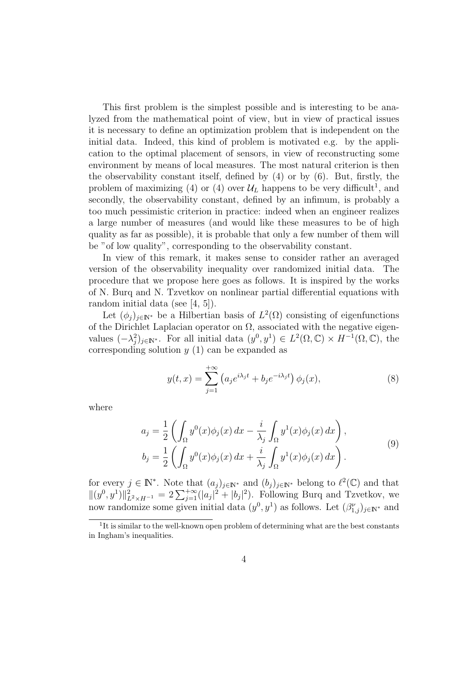This first problem is the simplest possible and is interesting to be analyzed from the mathematical point of view, but in view of practical issues it is necessary to define an optimization problem that is independent on the initial data. Indeed, this kind of problem is motivated e.g. by the application to the optimal placement of sensors, in view of reconstructing some environment by means of local measures. The most natural criterion is then the observability constant itself, defined by (4) or by (6). But, firstly, the problem of maximizing (4) or (4) over  $\mathcal{U}_L$  happens to be very difficult<sup>1</sup>, and secondly, the observability constant, defined by an infimum, is probably a too much pessimistic criterion in practice: indeed when an engineer realizes a large number of measures (and would like these measures to be of high quality as far as possible), it is probable that only a few number of them will be "of low quality", corresponding to the observability constant.

In view of this remark, it makes sense to consider rather an averaged version of the observability inequality over randomized initial data. The procedure that we propose here goes as follows. It is inspired by the works of N. Burq and N. Tzvetkov on nonlinear partial differential equations with random initial data (see [4, 5]).

Let  $(\phi_j)_{j \in \mathbb{N}^*}$  be a Hilbertian basis of  $L^2(\Omega)$  consisting of eigenfunctions of the Dirichlet Laplacian operator on  $\Omega$ , associated with the negative eigenvalues  $(-\lambda_j^2)_{j\in\mathbb{N}^*}$ . For all initial data  $(y^0, y^1) \in L^2(\Omega,\mathbb{C}) \times H^{-1}(\Omega,\mathbb{C})$ , the corresponding solution  $y(1)$  can be expanded as

$$
y(t,x) = \sum_{j=1}^{+\infty} \left( a_j e^{i\lambda_j t} + b_j e^{-i\lambda_j t} \right) \phi_j(x), \tag{8}
$$

where

$$
a_j = \frac{1}{2} \left( \int_{\Omega} y^0(x) \phi_j(x) dx - \frac{i}{\lambda_j} \int_{\Omega} y^1(x) \phi_j(x) dx \right),
$$
  
\n
$$
b_j = \frac{1}{2} \left( \int_{\Omega} y^0(x) \phi_j(x) dx + \frac{i}{\lambda_j} \int_{\Omega} y^1(x) \phi_j(x) dx \right).
$$
\n(9)

for every  $j \in \mathbb{N}^*$ . Note that  $(a_j)_{j \in \mathbb{N}^*}$  and  $(b_j)_{j \in \mathbb{N}^*}$  belong to  $\ell^2(\mathbb{C})$  and that  $||(y^0, y^1)||^2_{L^2 \times H^{-1}} = 2 \sum_{j=1}^{+\infty} (|a_j|^2 + |b_j|^2)$ . Following Burq and Tzvetkov, we now randomize some given initial data  $(y^0, y^1)$  as follows. Let  $(\beta^{\nu}_{1,j})_{j \in \mathbb{N}^*}$  and

<sup>&</sup>lt;sup>1</sup>It is similar to the well-known open problem of determining what are the best constants in Ingham's inequalities.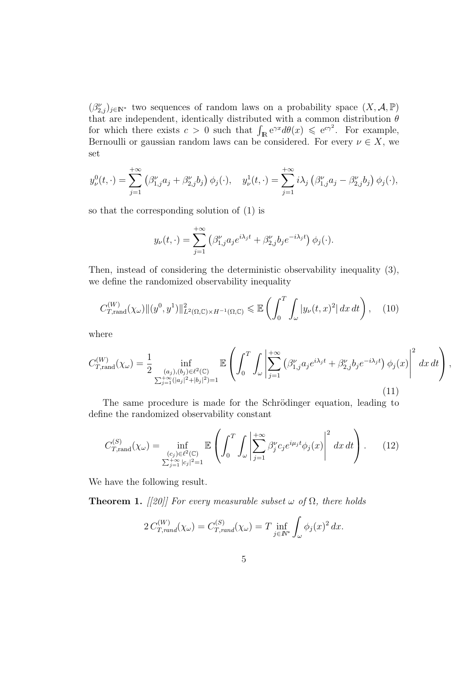$(\beta_{2,j}^{\nu})_{j\in\mathbb{N}^*}$  two sequences of random laws on a probability space  $(X, \mathcal{A}, \mathbb{P})$ that are independent, identically distributed with a common distribution  $\theta$ for which there exists  $c > 0$  such that  $\int_{\mathbb{R}} e^{\gamma x} d\theta(x) \leqslant e^{c\gamma^2}$ . For example, Bernoulli or gaussian random laws can be considered. For every  $\nu \in X$ , we set

$$
y^0_{\nu}(t,\cdot) = \sum_{j=1}^{+\infty} \left(\beta^{\nu}_{1,j}a_j + \beta^{\nu}_{2,j}b_j\right)\phi_j(\cdot), \quad y^1_{\nu}(t,\cdot) = \sum_{j=1}^{+\infty} i\lambda_j \left(\beta^{\nu}_{1,j}a_j - \beta^{\nu}_{2,j}b_j\right)\phi_j(\cdot),
$$

so that the corresponding solution of (1) is

$$
y_{\nu}(t,\cdot) = \sum_{j=1}^{+\infty} \left(\beta_{1,j}^{\nu} a_j e^{i\lambda_j t} + \beta_{2,j}^{\nu} b_j e^{-i\lambda_j t}\right) \phi_j(\cdot).
$$

Then, instead of considering the deterministic observability inequality (3), we define the randomized observability inequality

$$
C_{T,\text{rand}}^{(W)}(\chi_{\omega})\|(y^0, y^1)\|_{L^2(\Omega, \mathbb{C})\times H^{-1}(\Omega, \mathbb{C})}^2 \leq \mathbb{E}\left(\int_0^T \int_{\omega} |y_{\nu}(t, x)^2| dx dt\right), \quad (10)
$$

where

$$
C_{T,\text{rand}}^{(W)}(\chi_{\omega}) = \frac{1}{2} \inf_{\substack{(a_j),(b_j)\in\ell^2(\mathbb{C})\\ \sum_{j=1}^{+\infty}(|a_j|^2+|b_j|^2)=1}} \mathbb{E}\left(\int_0^T \int_{\omega} \left| \sum_{j=1}^{+\infty} \left(\beta_{1,j}^{\nu} a_j e^{i\lambda_j t} + \beta_{2,j}^{\nu} b_j e^{-i\lambda_j t}\right) \phi_j(x) \right|^2 dx dt\right),\tag{11}
$$

The same procedure is made for the Schrödinger equation, leading to define the randomized observability constant

$$
C_{T,\text{rand}}^{(S)}(\chi_{\omega}) = \inf_{\substack{(c_j) \in \ell^2(\mathbb{C}) \\ \sum_{j=1}^+ \infty |c_j|^2 = 1}} \mathbb{E}\left(\int_0^T \int_{\omega} \left| \sum_{j=1}^{+\infty} \beta_j^{\nu} c_j e^{i\mu_j t} \phi_j(x) \right|^2 dx dt\right). \tag{12}
$$

We have the following result.

**Theorem 1.** [[20]] For every measurable subset  $\omega$  of  $\Omega$ , there holds

$$
2 C_{T,rand}^{(W)}(\chi_{\omega}) = C_{T,rand}^{(S)}(\chi_{\omega}) = T \inf_{j \in \mathbb{N}^*} \int_{\omega} \phi_j(x)^2 dx.
$$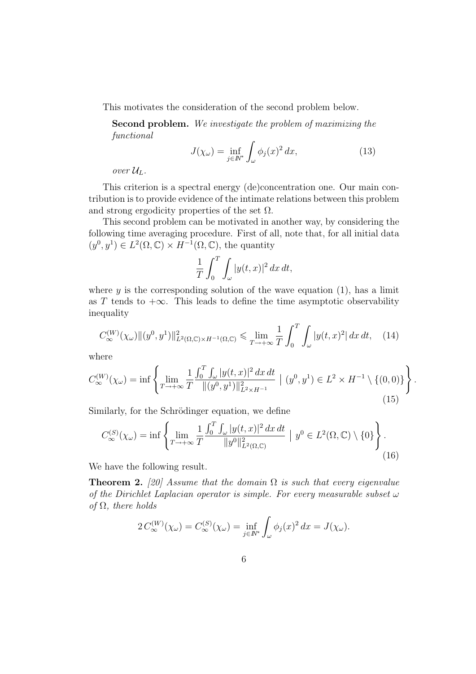This motivates the consideration of the second problem below.

Second problem. We investigate the problem of maximizing the functional

$$
J(\chi_{\omega}) = \inf_{j \in \mathbb{N}^*} \int_{\omega} \phi_j(x)^2 dx,
$$
 (13)

over  $\mathcal{U}_L$ .

This criterion is a spectral energy (de)concentration one. Our main contribution is to provide evidence of the intimate relations between this problem and strong ergodicity properties of the set  $\Omega$ .

This second problem can be motivated in another way, by considering the following time averaging procedure. First of all, note that, for all initial data  $(y^0, y^1) \in L^2(\Omega, \mathbb{C}) \times H^{-1}(\Omega, \mathbb{C})$ , the quantity

$$
\frac{1}{T} \int_0^T \int_{\omega} |y(t, x)|^2 \, dx \, dt,
$$

where  $y$  is the corresponding solution of the wave equation (1), has a limit as T tends to  $+\infty$ . This leads to define the time asymptotic observability inequality

$$
C_{\infty}^{(W)}(\chi_{\omega})\|(y^0, y^1)\|_{L^2(\Omega, \mathbb{C})\times H^{-1}(\Omega, \mathbb{C})}^2 \leq \lim_{T \to +\infty} \frac{1}{T} \int_0^T \int_{\omega} |y(t, x)|^2 dx dt, \quad (14)
$$

where

$$
C_{\infty}^{(W)}(\chi_{\omega}) = \inf \left\{ \lim_{T \to +\infty} \frac{1}{T} \frac{\int_0^T \int_{\omega} |y(t,x)|^2 dx dt}{\|(y^0, y^1)\|_{L^2 \times H^{-1}}^2} \mid (y^0, y^1) \in L^2 \times H^{-1} \setminus \{(0,0)\} \right\}.
$$
\n(15)

Similarly, for the Schrödinger equation, we define

$$
C_{\infty}^{(S)}(\chi_{\omega}) = \inf \left\{ \lim_{T \to +\infty} \frac{1}{T} \frac{\int_0^T \int_{\omega} |y(t,x)|^2 dx dt}{\|y^0\|_{L^2(\Omega,\mathbb{C})}^2} \; | \; y^0 \in L^2(\Omega,\mathbb{C}) \setminus \{0\} \right\}.
$$
\n(16)

We have the following result.

**Theorem 2.** [20] Assume that the domain  $\Omega$  is such that every eigenvalue of the Dirichlet Laplacian operator is simple. For every measurable subset  $\omega$ of  $\Omega$ , there holds

$$
2 C_{\infty}^{(W)}(\chi_{\omega}) = C_{\infty}^{(S)}(\chi_{\omega}) = \inf_{j \in \mathbb{N}^*} \int_{\omega} \phi_j(x)^2 dx = J(\chi_{\omega}).
$$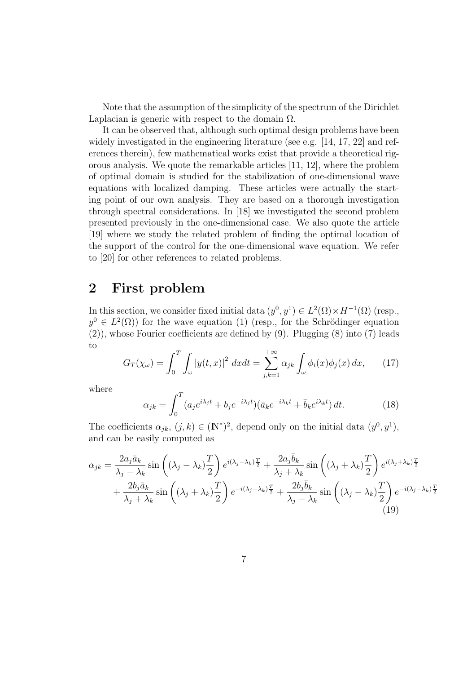Note that the assumption of the simplicity of the spectrum of the Dirichlet Laplacian is generic with respect to the domain  $\Omega$ .

It can be observed that, although such optimal design problems have been widely investigated in the engineering literature (see e.g. [14, 17, 22] and references therein), few mathematical works exist that provide a theoretical rigorous analysis. We quote the remarkable articles [11, 12], where the problem of optimal domain is studied for the stabilization of one-dimensional wave equations with localized damping. These articles were actually the starting point of our own analysis. They are based on a thorough investigation through spectral considerations. In [18] we investigated the second problem presented previously in the one-dimensional case. We also quote the article [19] where we study the related problem of finding the optimal location of the support of the control for the one-dimensional wave equation. We refer to [20] for other references to related problems.

## 2 First problem

In this section, we consider fixed initial data  $(y^0, y^1) \in L^2(\Omega) \times H^{-1}(\Omega)$  (resp.,  $y^0 \in L^2(\Omega)$  for the wave equation (1) (resp., for the Schrödinger equation (2)), whose Fourier coefficients are defined by (9). Plugging (8) into (7) leads to

$$
G_T(\chi_\omega) = \int_0^T \int_\omega |y(t,x)|^2 \, dx dt = \sum_{j,k=1}^{+\infty} \alpha_{jk} \int_\omega \phi_i(x) \phi_j(x) \, dx,\qquad(17)
$$

where

$$
\alpha_{jk} = \int_0^T (a_j e^{i\lambda_j t} + b_j e^{-i\lambda_j t}) (\bar{a}_k e^{-i\lambda_k t} + \bar{b}_k e^{i\lambda_k t}) dt.
$$
 (18)

The coefficients  $\alpha_{jk}, (j,k) \in (\mathbb{N}^*)^2$ , depend only on the initial data  $(y^0, y^1)$ , and can be easily computed as

$$
\alpha_{jk} = \frac{2a_j\bar{a}_k}{\lambda_j - \lambda_k} \sin\left((\lambda_j - \lambda_k)\frac{T}{2}\right) e^{i(\lambda_j - \lambda_k)\frac{T}{2}} + \frac{2a_j\bar{b}_k}{\lambda_j + \lambda_k} \sin\left((\lambda_j + \lambda_k)\frac{T}{2}\right) e^{i(\lambda_j + \lambda_k)\frac{T}{2}} + \frac{2b_j\bar{a}_k}{\lambda_j + \lambda_k} \sin\left((\lambda_j + \lambda_k)\frac{T}{2}\right) e^{-i(\lambda_j + \lambda_k)\frac{T}{2}} + \frac{2b_j\bar{b}_k}{\lambda_j - \lambda_k} \sin\left((\lambda_j - \lambda_k)\frac{T}{2}\right) e^{-i(\lambda_j - \lambda_k)\frac{T}{2}}
$$
\n(19)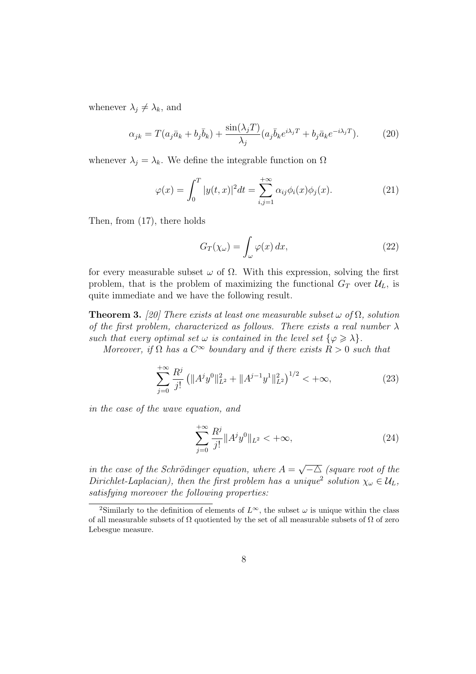whenever  $\lambda_j \neq \lambda_k$ , and

$$
\alpha_{jk} = T(a_j \bar{a}_k + b_j \bar{b}_k) + \frac{\sin(\lambda_j T)}{\lambda_j} (a_j \bar{b}_k e^{i\lambda_j T} + b_j \bar{a}_k e^{-i\lambda_j T}). \tag{20}
$$

whenever  $\lambda_j = \lambda_k$ . We define the integrable function on  $\Omega$ 

$$
\varphi(x) = \int_0^T |y(t, x)|^2 dt = \sum_{i, j=1}^{+\infty} \alpha_{ij} \phi_i(x) \phi_j(x).
$$
 (21)

Then, from (17), there holds

$$
G_T(\chi_\omega) = \int_\omega \varphi(x) \, dx,\tag{22}
$$

for every measurable subset  $\omega$  of  $\Omega$ . With this expression, solving the first problem, that is the problem of maximizing the functional  $G_T$  over  $\mathcal{U}_L$ , is quite immediate and we have the following result.

**Theorem 3.** [20] There exists at least one measurable subset  $\omega$  of  $\Omega$ , solution of the first problem, characterized as follows. There exists a real number  $\lambda$ such that every optimal set  $\omega$  is contained in the level set  $\{\varphi \geq \lambda\}$ .

Moreover, if  $\Omega$  has a  $C^{\infty}$  boundary and if there exists  $R > 0$  such that

$$
\sum_{j=0}^{+\infty} \frac{R^j}{j!} \left( \|A^j y^0\|_{L^2}^2 + \|A^{j-1} y^1\|_{L^2}^2 \right)^{1/2} < +\infty,\tag{23}
$$

in the case of the wave equation, and

$$
\sum_{j=0}^{+\infty} \frac{R^j}{j!} \|A^j y^0\|_{L^2} < +\infty,
$$
\n(24)

in the case of the Schrödinger equation, where  $A =$ √  $\overline{-\Delta}$  (square root of the Dirichlet-Laplacian), then the first problem has a unique<sup>2</sup> solution  $\chi_{\omega} \in \mathcal{U}_L$ , satisfying moreover the following properties:

<sup>&</sup>lt;sup>2</sup>Similarly to the definition of elements of  $L^{\infty}$ , the subset  $\omega$  is unique within the class of all measurable subsets of  $\Omega$  quotiented by the set of all measurable subsets of  $\Omega$  of zero Lebesgue measure.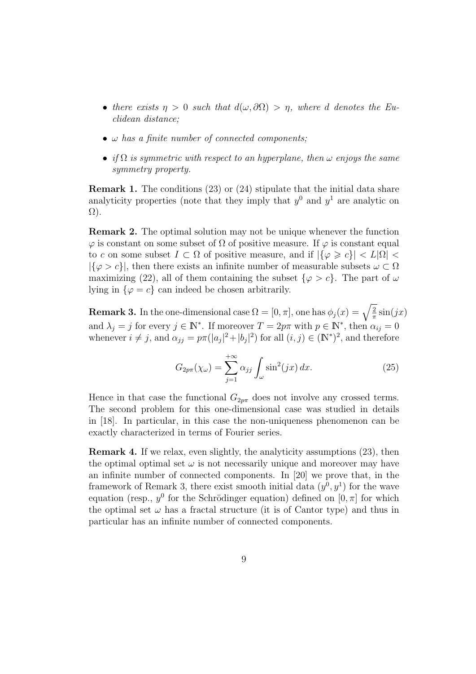- there exists  $\eta > 0$  such that  $d(\omega, \partial \Omega) > \eta$ , where d denotes the Euclidean distance;
- $\omega$  has a finite number of connected components;
- if  $\Omega$  is symmetric with respect to an hyperplane, then  $\omega$  enjoys the same symmetry property.

Remark 1. The conditions (23) or (24) stipulate that the initial data share analyticity properties (note that they imply that  $y^0$  and  $y^1$  are analytic on Ω).

Remark 2. The optimal solution may not be unique whenever the function  $\varphi$  is constant on some subset of  $\Omega$  of positive measure. If  $\varphi$  is constant equal to c on some subset  $I \subset \Omega$  of positive measure, and if  $|\{\varphi \geq c\}| < L|\Omega|$  $|\{\varphi > c\}|$ , then there exists an infinite number of measurable subsets  $\omega \subset \Omega$ maximizing (22), all of them containing the subset  $\{\varphi > c\}$ . The part of  $\omega$ lying in  $\{\varphi = c\}$  can indeed be chosen arbitrarily.

**Remark 3.** In the one-dimensional case  $\Omega = [0, \pi]$ , one has  $\phi_j(x) = \sqrt{\frac{2}{\pi}}$  $rac{2}{\pi}$  sin(jx) and  $\lambda_j = j$  for every  $j \in \mathbb{N}^*$ . If moreover  $T = 2p\pi$  with  $p \in \mathbb{N}^*$ , then  $\alpha_{ij} = 0$ whenever  $i \neq j$ , and  $\alpha_{jj} = p\pi(|a_j|^2 + |b_j|^2)$  for all  $(i, j) \in (\mathbb{N}^*)^2$ , and therefore

$$
G_{2p\pi}(\chi_{\omega}) = \sum_{j=1}^{+\infty} \alpha_{jj} \int_{\omega} \sin^2(jx) dx.
$$
 (25)

Hence in that case the functional  $G_{2p\pi}$  does not involve any crossed terms. The second problem for this one-dimensional case was studied in details in [18]. In particular, in this case the non-uniqueness phenomenon can be exactly characterized in terms of Fourier series.

Remark 4. If we relax, even slightly, the analyticity assumptions (23), then the optimal optimal set  $\omega$  is not necessarily unique and moreover may have an infinite number of connected components. In [20] we prove that, in the framework of Remark 3, there exist smooth initial data  $(y^0, y^1)$  for the wave equation (resp.,  $y^0$  for the Schrödinger equation) defined on  $[0, \pi]$  for which the optimal set  $\omega$  has a fractal structure (it is of Cantor type) and thus in particular has an infinite number of connected components.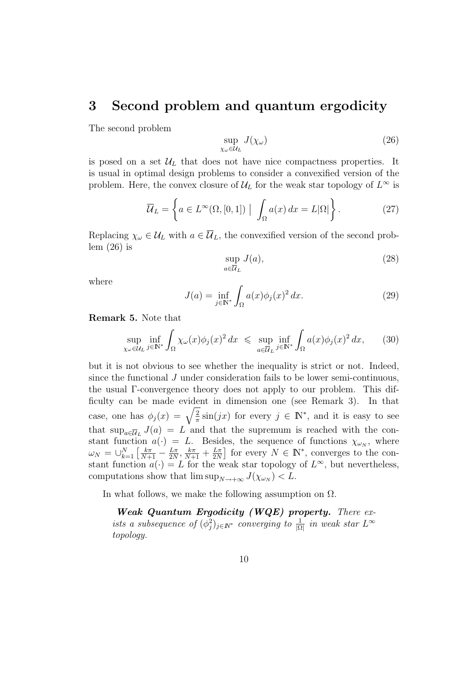### 3 Second problem and quantum ergodicity

The second problem

$$
\sup_{\chi_{\omega}\in\mathcal{U}_{L}}J(\chi_{\omega})\tag{26}
$$

is posed on a set  $\mathcal{U}_L$  that does not have nice compactness properties. It is usual in optimal design problems to consider a convexified version of the problem. Here, the convex closure of  $\mathcal{U}_L$  for the weak star topology of  $L^{\infty}$  is

$$
\overline{\mathcal{U}}_L = \left\{ a \in L^{\infty}(\Omega, [0, 1]) \mid \int_{\Omega} a(x) dx = L|\Omega| \right\}.
$$
 (27)

Replacing  $\chi_{\omega} \in \mathcal{U}_L$  with  $a \in \overline{\mathcal{U}}_L$ , the convexified version of the second problem  $(26)$  is

$$
\sup_{a \in \overline{\mathcal{U}}_L} J(a),\tag{28}
$$

where

$$
J(a) = \inf_{j \in \mathbb{N}^*} \int_{\Omega} a(x) \phi_j(x)^2 dx.
$$
 (29)

Remark 5. Note that

$$
\sup_{\chi_{\omega}\in\mathcal{U}_{L}} \inf_{j\in\mathbb{N}^{*}} \int_{\Omega} \chi_{\omega}(x)\phi_{j}(x)^{2} dx \leq \sup_{a\in\overline{\mathcal{U}}_{L}} \inf_{j\in\mathbb{N}^{*}} \int_{\Omega} a(x)\phi_{j}(x)^{2} dx, \qquad (30)
$$

but it is not obvious to see whether the inequality is strict or not. Indeed, since the functional J under consideration fails to be lower semi-continuous, the usual Γ-convergence theory does not apply to our problem. This difficulty can be made evident in dimension one (see Remark 3). In that case, one has  $\phi_j(x) = \sqrt{\frac{2}{\pi}}$  $\frac{2}{\pi}$  sin(jx) for every  $j \in \mathbb{N}^*$ , and it is easy to see that  $\sup_{a \in \overline{U}_L} J(a) = L$  and that the supremum is reached with the constant function  $a(\cdot) = L$ . Besides, the sequence of functions  $\chi_{\omega_N}$ , where  $\omega_N = \cup_{k=1}^N \left[ \frac{k \pi}{N+1} - \frac{L \pi}{2N} \right]$  $rac{L\pi}{2N}, \frac{k\pi}{N+1} + \frac{L\pi}{2N}$  $\frac{L\pi}{2N}$  for every  $N \in \mathbb{N}^*$ , converges to the constant function  $a(\cdot) = L$  for the weak star topology of  $L^{\infty}$ , but nevertheless, computations show that  $\limsup_{N \to +\infty} J(\chi_{\omega_N}) < L$ .

In what follows, we make the following assumption on  $\Omega$ .

**Weak Quantum Ergodicity (WQE) property.** There exists a subsequence of  $(\phi_j^2)_{j \in \mathbb{N}^*}$  converging to  $\frac{1}{|\Omega|}$  in weak star  $L^{\infty}$ topology.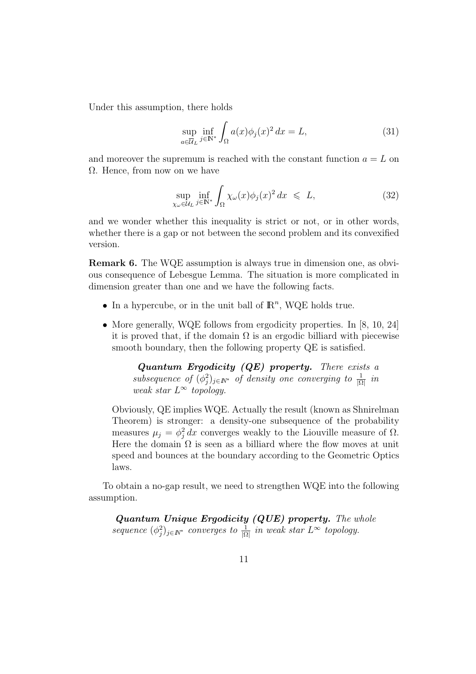Under this assumption, there holds

$$
\sup_{a \in \overline{U}_L} \inf_{j \in \mathbb{N}^*} \int_{\Omega} a(x) \phi_j(x)^2 dx = L,\tag{31}
$$

and moreover the supremum is reached with the constant function  $a = L$  on  $\Omega$ . Hence, from now on we have

$$
\sup_{\chi_{\omega}\in\mathcal{U}_L} \inf_{j\in\mathbb{N}^*} \int_{\Omega} \chi_{\omega}(x)\phi_j(x)^2 dx \leq L,\tag{32}
$$

and we wonder whether this inequality is strict or not, or in other words, whether there is a gap or not between the second problem and its convexified version.

Remark 6. The WQE assumption is always true in dimension one, as obvious consequence of Lebesgue Lemma. The situation is more complicated in dimension greater than one and we have the following facts.

- In a hypercube, or in the unit ball of  $\mathbb{R}^n$ , WQE holds true.
- More generally, WQE follows from ergodicity properties. In [8, 10, 24] it is proved that, if the domain  $\Omega$  is an ergodic billiard with piecewise smooth boundary, then the following property QE is satisfied.

**Quantum Ergodicity (QE) property.** There exists a subsequence of  $(\phi_j^2)_{j \in \mathbb{N}^*}$  of density one converging to  $\frac{1}{|\Omega|}$  in weak star  $L^{\infty}$  topology.

Obviously, QE implies WQE. Actually the result (known as Shnirelman Theorem) is stronger: a density-one subsequence of the probability measures  $\mu_j = \phi_j^2 dx$  converges weakly to the Liouville measure of  $\Omega$ . Here the domain  $\Omega$  is seen as a billiard where the flow moves at unit speed and bounces at the boundary according to the Geometric Optics laws.

To obtain a no-gap result, we need to strengthen WQE into the following assumption.

Quantum Unique Ergodicity (QUE) property. The whole sequence  $(\phi_j^2)_{j \in \mathbb{N}^*}$  converges to  $\frac{1}{|\Omega|}$  in weak star  $L^{\infty}$  topology.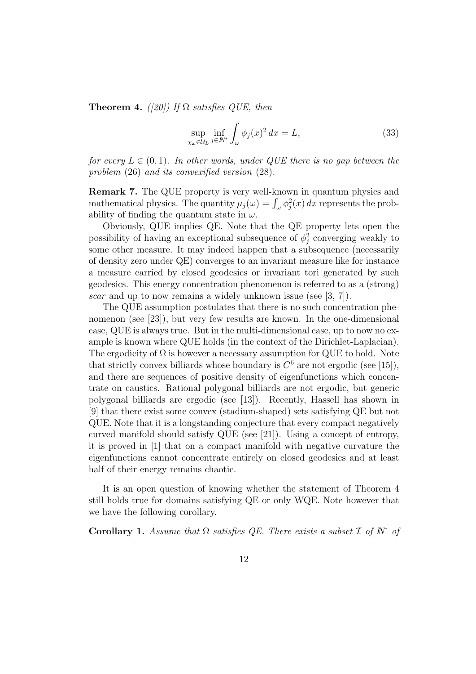**Theorem 4.** ([20]) If  $\Omega$  satisfies QUE, then

$$
\sup_{\chi_{\omega}\in\mathcal{U}_{L}} \inf_{j\in\mathbb{N}^{*}} \int_{\omega} \phi_{j}(x)^{2} dx = L,
$$
\n(33)

for every  $L \in (0,1)$ . In other words, under QUE there is no gap between the problem (26) and its convexified version (28).

Remark 7. The QUE property is very well-known in quantum physics and mathematical physics. The quantity  $\mu_j(\omega) = \int_{\omega} \phi_j^2(x) dx$  represents the probability of finding the quantum state in  $\omega$ .

Obviously, QUE implies QE. Note that the QE property lets open the possibility of having an exceptional subsequence of  $\phi_j^2$  converging weakly to some other measure. It may indeed happen that a subsequence (necessarily of density zero under QE) converges to an invariant measure like for instance a measure carried by closed geodesics or invariant tori generated by such geodesics. This energy concentration phenomenon is referred to as a (strong) scar and up to now remains a widely unknown issue (see [3, 7]).

The QUE assumption postulates that there is no such concentration phenomenon (see [23]), but very few results are known. In the one-dimensional case, QUE is always true. But in the multi-dimensional case, up to now no example is known where QUE holds (in the context of the Dirichlet-Laplacian). The ergodicity of  $\Omega$  is however a necessary assumption for QUE to hold. Note that strictly convex billiards whose boundary is  $C^6$  are not ergodic (see [15]), and there are sequences of positive density of eigenfunctions which concentrate on caustics. Rational polygonal billiards are not ergodic, but generic polygonal billiards are ergodic (see [13]). Recently, Hassell has shown in [9] that there exist some convex (stadium-shaped) sets satisfying QE but not QUE. Note that it is a longstanding conjecture that every compact negatively curved manifold should satisfy QUE (see [21]). Using a concept of entropy, it is proved in [1] that on a compact manifold with negative curvature the eigenfunctions cannot concentrate entirely on closed geodesics and at least half of their energy remains chaotic.

It is an open question of knowing whether the statement of Theorem 4 still holds true for domains satisfying QE or only WQE. Note however that we have the following corollary.

Corollary 1. Assume that  $\Omega$  satisfies QE. There exists a subset  $\mathcal I$  of  $\mathbb N^*$  of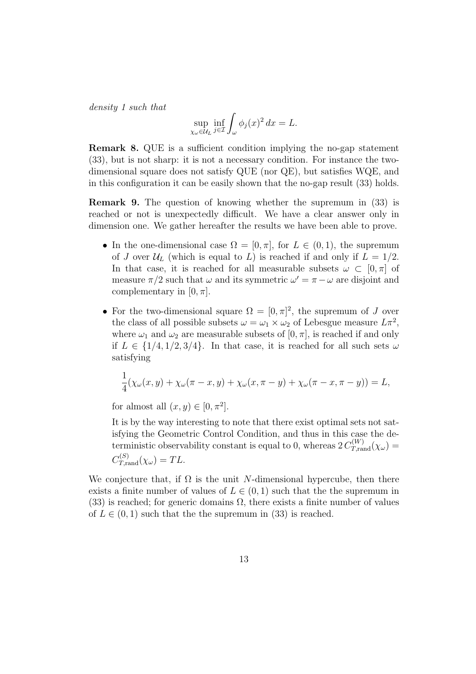density 1 such that

$$
\sup_{\chi_{\omega}\in\mathcal{U}_L} \inf_{j\in\mathcal{I}} \int_{\omega} \phi_j(x)^2 dx = L.
$$

Remark 8. QUE is a sufficient condition implying the no-gap statement (33), but is not sharp: it is not a necessary condition. For instance the twodimensional square does not satisfy QUE (nor QE), but satisfies WQE, and in this configuration it can be easily shown that the no-gap result (33) holds.

Remark 9. The question of knowing whether the supremum in (33) is reached or not is unexpectedly difficult. We have a clear answer only in dimension one. We gather hereafter the results we have been able to prove.

- In the one-dimensional case  $\Omega = [0, \pi]$ , for  $L \in (0, 1)$ , the supremum of J over  $\mathcal{U}_L$  (which is equal to L) is reached if and only if  $L = 1/2$ . In that case, it is reached for all measurable subsets  $\omega \subset [0, \pi]$  of measure  $\pi/2$  such that  $\omega$  and its symmetric  $\omega' = \pi - \omega$  are disjoint and complementary in  $[0, \pi]$ .
- For the two-dimensional square  $\Omega = [0, \pi]^2$ , the supremum of J over the class of all possible subsets  $\omega = \omega_1 \times \omega_2$  of Lebesgue measure  $L\pi^2$ , where  $\omega_1$  and  $\omega_2$  are measurable subsets of  $[0, \pi]$ , is reached if and only if  $L \in \{1/4, 1/2, 3/4\}$ . In that case, it is reached for all such sets  $\omega$ satisfying

$$
\frac{1}{4}(\chi_{\omega}(x,y)+\chi_{\omega}(\pi-x,y)+\chi_{\omega}(x,\pi-y)+\chi_{\omega}(\pi-x,\pi-y))=L,
$$

for almost all  $(x, y) \in [0, \pi^2]$ .

It is by the way interesting to note that there exist optimal sets not satisfying the Geometric Control Condition, and thus in this case the deterministic observability constant is equal to 0, whereas  $2 C_{T,\text{rand}}^{(W)}(\chi_{\omega}) =$  $C_{T,\text{rand}}^{(S)}(\chi_{\omega}) = TL.$ 

We conjecture that, if  $\Omega$  is the unit N-dimensional hypercube, then there exists a finite number of values of  $L \in (0, 1)$  such that the the supremum in (33) is reached; for generic domains  $\Omega$ , there exists a finite number of values of  $L \in (0, 1)$  such that the supremum in (33) is reached.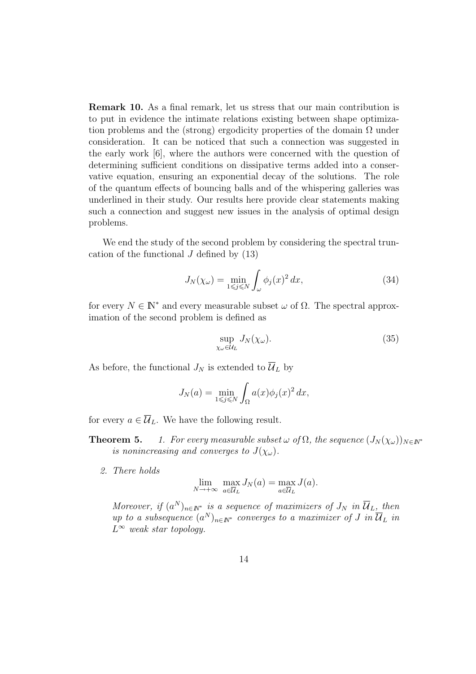Remark 10. As a final remark, let us stress that our main contribution is to put in evidence the intimate relations existing between shape optimization problems and the (strong) ergodicity properties of the domain  $\Omega$  under consideration. It can be noticed that such a connection was suggested in the early work [6], where the authors were concerned with the question of determining sufficient conditions on dissipative terms added into a conservative equation, ensuring an exponential decay of the solutions. The role of the quantum effects of bouncing balls and of the whispering galleries was underlined in their study. Our results here provide clear statements making such a connection and suggest new issues in the analysis of optimal design problems.

We end the study of the second problem by considering the spectral truncation of the functional  $J$  defined by  $(13)$ 

$$
J_N(\chi_\omega) = \min_{1 \le j \le N} \int_{\omega} \phi_j(x)^2 dx, \tag{34}
$$

for every  $N \in \mathbb{N}^*$  and every measurable subset  $\omega$  of  $\Omega$ . The spectral approximation of the second problem is defined as

$$
\sup_{\chi_{\omega}\in\mathcal{U}_L} J_N(\chi_{\omega}).\tag{35}
$$

As before, the functional  $J_N$  is extended to  $\overline{\mathcal{U}}_L$  by

$$
J_N(a) = \min_{1 \le j \le N} \int_{\Omega} a(x) \phi_j(x)^2 dx,
$$

for every  $a \in \overline{\mathcal{U}}_L$ . We have the following result.

- **Theorem 5.** 1. For every measurable subset  $\omega$  of  $\Omega$ , the sequence  $(J_N(\chi_{\omega}))_{N\in\mathbb{N}^*}$ is nonincreasing and converges to  $J(\chi_{\omega})$ .
	- 2. There holds

$$
\lim_{N \to +\infty} \max_{a \in \overline{U}_L} J_N(a) = \max_{a \in \overline{U}_L} J(a).
$$

Moreover, if  $(a^N)_{n \in \mathbb{N}^*}$  is a sequence of maximizers of  $J_N$  in  $\overline{\mathcal{U}}_L$ , then up to a subsequence  $(a^N)_{n \in \mathbb{N}^*}$  converges to a maximizer of J in  $\overline{\mathcal{U}}_L$  in  $L^{\infty}$  weak star topology.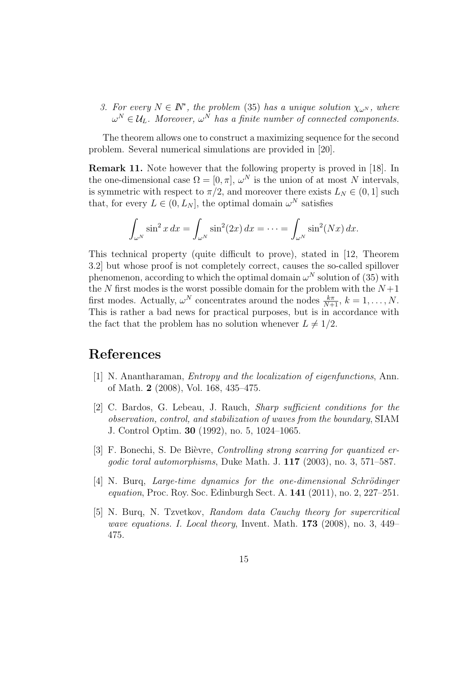3. For every  $N \in \mathbb{N}^*$ , the problem (35) has a unique solution  $\chi_{\omega^N}$ , where  $\omega^N \in \mathcal{U}_L$ . Moreover,  $\omega^N$  has a finite number of connected components.

The theorem allows one to construct a maximizing sequence for the second problem. Several numerical simulations are provided in [20].

Remark 11. Note however that the following property is proved in [18]. In the one-dimensional case  $\Omega = [0, \pi]$ ,  $\omega^N$  is the union of at most N intervals, is symmetric with respect to  $\pi/2$ , and moreover there exists  $L_N \in (0, 1]$  such that, for every  $L \in (0, L_N]$ , the optimal domain  $\omega^N$  satisfies

$$
\int_{\omega^N} \sin^2 x \, dx = \int_{\omega^N} \sin^2(2x) \, dx = \cdots = \int_{\omega^N} \sin^2(Nx) \, dx.
$$

This technical property (quite difficult to prove), stated in [12, Theorem 3.2] but whose proof is not completely correct, causes the so-called spillover phenomenon, according to which the optimal domain  $\omega^N$  solution of (35) with the N first modes is the worst possible domain for the problem with the  $N+1$ first modes. Actually,  $\omega^N$  concentrates around the nodes  $\frac{k\pi}{N+1}$ ,  $k = 1, \ldots, N$ . This is rather a bad news for practical purposes, but is in accordance with the fact that the problem has no solution whenever  $L \neq 1/2$ .

### References

- [1] N. Anantharaman, Entropy and the localization of eigenfunctions, Ann. of Math. 2 (2008), Vol. 168, 435–475.
- [2] C. Bardos, G. Lebeau, J. Rauch, Sharp sufficient conditions for the observation, control, and stabilization of waves from the boundary, SIAM J. Control Optim. 30 (1992), no. 5, 1024–1065.
- [3] F. Bonechi, S. De Bièvre, Controlling strong scarring for quantized ergodic toral automorphisms, Duke Math. J. 117 (2003), no. 3, 571–587.
- [4] N. Burq, Large-time dynamics for the one-dimensional Schrödinger equation, Proc. Roy. Soc. Edinburgh Sect. A. 141 (2011), no. 2, 227–251.
- [5] N. Burq, N. Tzvetkov, Random data Cauchy theory for supercritical wave equations. I. Local theory, Invent. Math. 173 (2008), no. 3, 449– 475.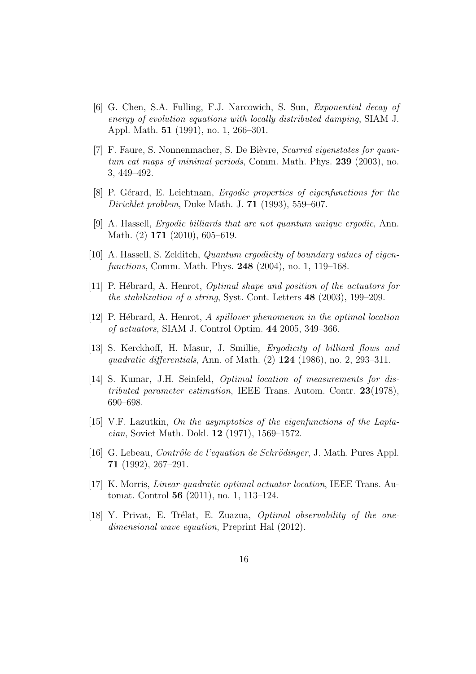- [6] G. Chen, S.A. Fulling, F.J. Narcowich, S. Sun, Exponential decay of energy of evolution equations with locally distributed damping, SIAM J. Appl. Math. 51 (1991), no. 1, 266–301.
- [7] F. Faure, S. Nonnenmacher, S. De Bièvre, *Scarred eigenstates for quan*tum cat maps of minimal periods, Comm. Math. Phys. 239 (2003), no. 3, 449–492.
- [8] P. Gérard, E. Leichtnam, Ergodic properties of eigenfunctions for the Dirichlet problem, Duke Math. J. 71 (1993), 559–607.
- [9] A. Hassell, Ergodic billiards that are not quantum unique ergodic, Ann. Math. (2) 171 (2010), 605–619.
- [10] A. Hassell, S. Zelditch, Quantum ergodicity of boundary values of eigenfunctions, Comm. Math. Phys. 248 (2004), no. 1, 119–168.
- [11] P. Hébrard, A. Henrot, *Optimal shape and position of the actuators for* the stabilization of a string, Syst. Cont. Letters 48 (2003), 199–209.
- [12] P. Hébrard, A. Henrot, A spillover phenomenon in the optimal location of actuators, SIAM J. Control Optim. 44 2005, 349–366.
- [13] S. Kerckhoff, H. Masur, J. Smillie, Ergodicity of billiard flows and quadratic differentials, Ann. of Math. (2) 124 (1986), no. 2, 293–311.
- [14] S. Kumar, J.H. Seinfeld, Optimal location of measurements for distributed parameter estimation, IEEE Trans. Autom. Contr. 23(1978), 690–698.
- [15] V.F. Lazutkin, On the asymptotics of the eigenfunctions of the Laplacian, Soviet Math. Dokl. 12 (1971), 1569–1572.
- [16] G. Lebeau, *Contrôle de l'equation de Schrödinger*, J. Math. Pures Appl. 71 (1992), 267–291.
- $[17]$  K. Morris, *Linear-quadratic optimal actuator location*, IEEE Trans. Automat. Control 56 (2011), no. 1, 113–124.
- $[18]$  Y. Privat, E. Trélat, E. Zuazua, *Optimal observability of the one*dimensional wave equation, Preprint Hal (2012).